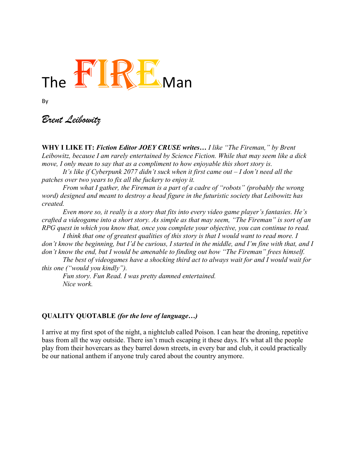

By

*Brent Leibowitz*

**WHY I LIKE IT:** *Fiction Editor JOEY CRUSE writes… I like "The Fireman," by Brent Leibowitz, because I am rarely entertained by Science Fiction. While that may seem like a dick move, I only mean to say that as a compliment to how enjoyable this short story is.* 

*It's like if Cyberpunk 2077 didn't suck when it first came out – I don't need all the patches over two years to fix all the fuckery to enjoy it.* 

*From what I gather, the Fireman is a part of a cadre of "robots" (probably the wrong word) designed and meant to destroy a head figure in the futuristic society that Leibowitz has created.* 

*Even more so, it really is a story that fits into every video game player's fantasies. He's crafted a videogame into a short story. As simple as that may seem, "The Fireman" is sort of an RPG quest in which you know that, once you complete your objective, you can continue to read.* 

I think that one of greatest qualities of this story is that I would want to read more. I *don't know the beginning, but I'd be curious, I started in the middle, and I'm fine with that, and I don't know the end, but I would be amenable to finding out how "The Fireman" frees himself.*

*The best of videogames have a shocking third act to always wait for and I would wait for this one ("would you kindly").* 

*Fun story. Fun Read. I was pretty damned entertained. Nice work.* 

## **QUALITY QUOTABLE** *(for the love of language…)*

I arrive at my first spot of the night, a nightclub called Poison. I can hear the droning, repetitive bass from all the way outside. There isn't much escaping it these days. It's what all the people play from their hovercars as they barrel down streets, in every bar and club, it could practically be our national anthem if anyone truly cared about the country anymore.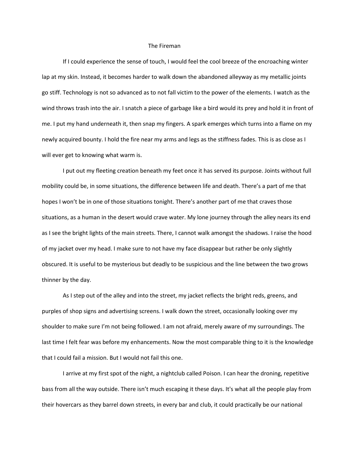## The Fireman

If I could experience the sense of touch, I would feel the cool breeze of the encroaching winter lap at my skin. Instead, it becomes harder to walk down the abandoned alleyway as my metallic joints go stiff. Technology is not so advanced as to not fall victim to the power of the elements. I watch as the wind throws trash into the air. I snatch a piece of garbage like a bird would its prey and hold it in front of me. I put my hand underneath it, then snap my fingers. A spark emerges which turns into a flame on my newly acquired bounty. I hold the fire near my arms and legs as the stiffness fades. This is as close as I will ever get to knowing what warm is.

I put out my fleeting creation beneath my feet once it has served its purpose. Joints without full mobility could be, in some situations, the difference between life and death. There's a part of me that hopes I won't be in one of those situations tonight. There's another part of me that craves those situations, as a human in the desert would crave water. My lone journey through the alley nears its end as I see the bright lights of the main streets. There, I cannot walk amongst the shadows. I raise the hood of my jacket over my head. I make sure to not have my face disappear but rather be only slightly obscured. It is useful to be mysterious but deadly to be suspicious and the line between the two grows thinner by the day.

As I step out of the alley and into the street, my jacket reflects the bright reds, greens, and purples of shop signs and advertising screens. I walk down the street, occasionally looking over my shoulder to make sure I'm not being followed. I am not afraid, merely aware of my surroundings. The last time I felt fear was before my enhancements. Now the most comparable thing to it is the knowledge that I could fail a mission. But I would not fail this one.

I arrive at my first spot of the night, a nightclub called Poison. I can hear the droning, repetitive bass from all the way outside. There isn't much escaping it these days. It's what all the people play from their hovercars as they barrel down streets, in every bar and club, it could practically be our national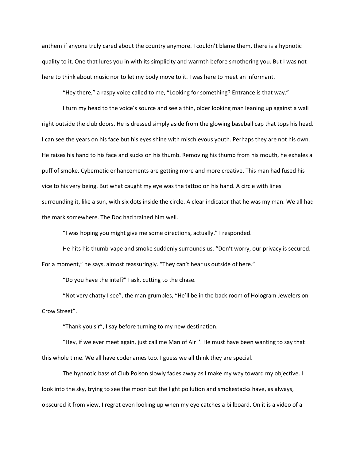anthem if anyone truly cared about the country anymore. I couldn't blame them, there is a hypnotic quality to it. One that lures you in with its simplicity and warmth before smothering you. But I was not here to think about music nor to let my body move to it. I was here to meet an informant.

"Hey there," a raspy voice called to me, "Looking for something? Entrance is that way."

I turn my head to the voice's source and see a thin, older looking man leaning up against a wall right outside the club doors. He is dressed simply aside from the glowing baseball cap that tops his head. I can see the years on his face but his eyes shine with mischievous youth. Perhaps they are not his own. He raises his hand to his face and sucks on his thumb. Removing his thumb from his mouth, he exhales a puff of smoke. Cybernetic enhancements are getting more and more creative. This man had fused his vice to his very being. But what caught my eye was the tattoo on his hand. A circle with lines surrounding it, like a sun, with six dots inside the circle. A clear indicator that he was my man. We all had the mark somewhere. The Doc had trained him well.

"I was hoping you might give me some directions, actually." I responded.

He hits his thumb-vape and smoke suddenly surrounds us. "Don't worry, our privacy is secured. For a moment," he says, almost reassuringly. "They can't hear us outside of here."

"Do you have the intel?" I ask, cutting to the chase.

"Not very chatty I see", the man grumbles, "He'll be in the back room of Hologram Jewelers on Crow Street".

"Thank you sir", I say before turning to my new destination.

"Hey, if we ever meet again, just call me Man of Air ''. He must have been wanting to say that this whole time. We all have codenames too. I guess we all think they are special.

The hypnotic bass of Club Poison slowly fades away as I make my way toward my objective. I look into the sky, trying to see the moon but the light pollution and smokestacks have, as always, obscured it from view. I regret even looking up when my eye catches a billboard. On it is a video of a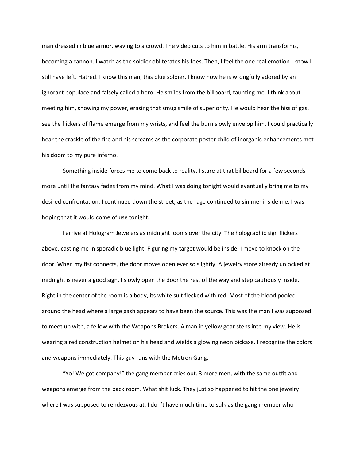man dressed in blue armor, waving to a crowd. The video cuts to him in battle. His arm transforms, becoming a cannon. I watch as the soldier obliterates his foes. Then, I feel the one real emotion I know I still have left. Hatred. I know this man, this blue soldier. I know how he is wrongfully adored by an ignorant populace and falsely called a hero. He smiles from the billboard, taunting me. I think about meeting him, showing my power, erasing that smug smile of superiority. He would hear the hiss of gas, see the flickers of flame emerge from my wrists, and feel the burn slowly envelop him. I could practically hear the crackle of the fire and his screams as the corporate poster child of inorganic enhancements met his doom to my pure inferno.

Something inside forces me to come back to reality. I stare at that billboard for a few seconds more until the fantasy fades from my mind. What I was doing tonight would eventually bring me to my desired confrontation. I continued down the street, as the rage continued to simmer inside me. I was hoping that it would come of use tonight.

I arrive at Hologram Jewelers as midnight looms over the city. The holographic sign flickers above, casting me in sporadic blue light. Figuring my target would be inside, I move to knock on the door. When my fist connects, the door moves open ever so slightly. A jewelry store already unlocked at midnight is never a good sign. I slowly open the door the rest of the way and step cautiously inside. Right in the center of the room is a body, its white suit flecked with red. Most of the blood pooled around the head where a large gash appears to have been the source. This was the man I was supposed to meet up with, a fellow with the Weapons Brokers. A man in yellow gear steps into my view. He is wearing a red construction helmet on his head and wields a glowing neon pickaxe. I recognize the colors and weapons immediately. This guy runs with the Metron Gang.

"Yo! We got company!" the gang member cries out. 3 more men, with the same outfit and weapons emerge from the back room. What shit luck. They just so happened to hit the one jewelry where I was supposed to rendezvous at. I don't have much time to sulk as the gang member who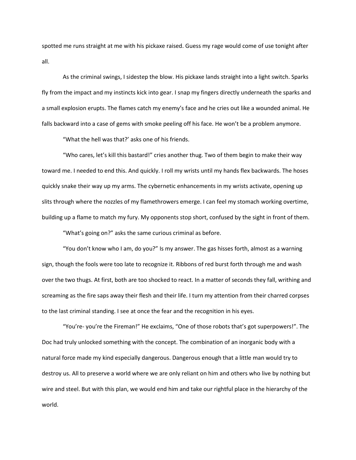spotted me runs straight at me with his pickaxe raised. Guess my rage would come of use tonight after all.

As the criminal swings, I sidestep the blow. His pickaxe lands straight into a light switch. Sparks fly from the impact and my instincts kick into gear. I snap my fingers directly underneath the sparks and a small explosion erupts. The flames catch my enemy's face and he cries out like a wounded animal. He falls backward into a case of gems with smoke peeling off his face. He won't be a problem anymore.

"What the hell was that?' asks one of his friends.

"Who cares, let's kill this bastard!" cries another thug. Two of them begin to make their way toward me. I needed to end this. And quickly. I roll my wrists until my hands flex backwards. The hoses quickly snake their way up my arms. The cybernetic enhancements in my wrists activate, opening up slits through where the nozzles of my flamethrowers emerge. I can feel my stomach working overtime, building up a flame to match my fury. My opponents stop short, confused by the sight in front of them.

"What's going on?" asks the same curious criminal as before.

"You don't know who I am, do you?" Is my answer. The gas hisses forth, almost as a warning sign, though the fools were too late to recognize it. Ribbons of red burst forth through me and wash over the two thugs. At first, both are too shocked to react. In a matter of seconds they fall, writhing and screaming as the fire saps away their flesh and their life. I turn my attention from their charred corpses to the last criminal standing. I see at once the fear and the recognition in his eyes.

"You're- you're the Fireman!" He exclaims, "One of those robots that's got superpowers!". The Doc had truly unlocked something with the concept. The combination of an inorganic body with a natural force made my kind especially dangerous. Dangerous enough that a little man would try to destroy us. All to preserve a world where we are only reliant on him and others who live by nothing but wire and steel. But with this plan, we would end him and take our rightful place in the hierarchy of the world.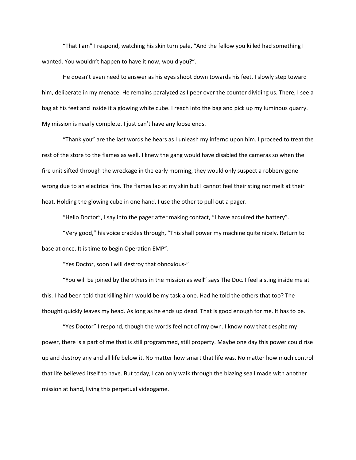"That I am" I respond, watching his skin turn pale, "And the fellow you killed had something I wanted. You wouldn't happen to have it now, would you?".

He doesn't even need to answer as his eyes shoot down towards his feet. I slowly step toward him, deliberate in my menace. He remains paralyzed as I peer over the counter dividing us. There, I see a bag at his feet and inside it a glowing white cube. I reach into the bag and pick up my luminous quarry. My mission is nearly complete. I just can't have any loose ends.

"Thank you" are the last words he hears as I unleash my inferno upon him. I proceed to treat the rest of the store to the flames as well. I knew the gang would have disabled the cameras so when the fire unit sifted through the wreckage in the early morning, they would only suspect a robbery gone wrong due to an electrical fire. The flames lap at my skin but I cannot feel their sting nor melt at their heat. Holding the glowing cube in one hand, I use the other to pull out a pager.

"Hello Doctor", I say into the pager after making contact, "I have acquired the battery".

"Very good," his voice crackles through, "This shall power my machine quite nicely. Return to base at once. It is time to begin Operation EMP".

"Yes Doctor, soon I will destroy that obnoxious-"

"You will be joined by the others in the mission as well" says The Doc. I feel a sting inside me at this. I had been told that killing him would be my task alone. Had he told the others that too? The thought quickly leaves my head. As long as he ends up dead. That is good enough for me. It has to be.

"Yes Doctor" I respond, though the words feel not of my own. I know now that despite my power, there is a part of me that is still programmed, still property. Maybe one day this power could rise up and destroy any and all life below it. No matter how smart that life was. No matter how much control that life believed itself to have. But today, I can only walk through the blazing sea I made with another mission at hand, living this perpetual videogame.